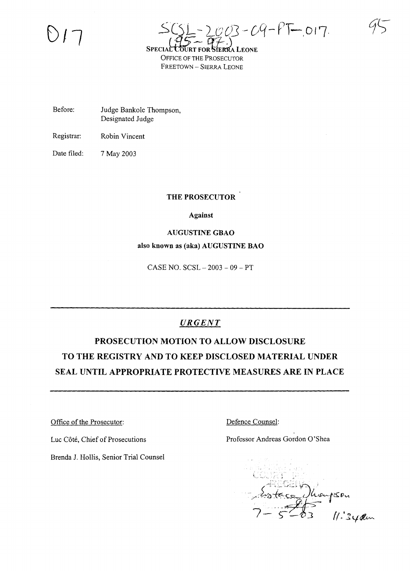s~ *2..-pOJ-* Dq- *PT-,* <sup>0</sup> <sup>1</sup>'7 SPECIAL COURT FOR STERRA LEONE OFFICE OF THE PROSECUTOR FREETOWN - SIERRA LEONE

Before: Judge Bankole Thompson, Designated Judge

Registrar: Robin Vincent

Date filed: 7 May 2003

### **THE PROSECUTOR**

### **Against**

### **AUGUSTINE GBAO**

### **also known as (aka) AUGUSTINE BAO**

CASE NO. SCSL - 2003 - 09 - PT

## *URGENT*

# **PROSECUTION MOTION TO ALLOW DISCLOSURE TO THE REGISTRY AND TO KEEP DISCLOSED MATERIAL UNDER SEAL UNTIL APPROPRIATE PROTECTIVE MEASURES ARE IN PLACE**

Office of the Prosecutor:

Luc Côté, Chief of Prosecutions

Brenda 1. Hollis, Senior Trial Counsel

Defence Counsel:

Professor Andreas Gordon O'Shea

pson<br>11.34am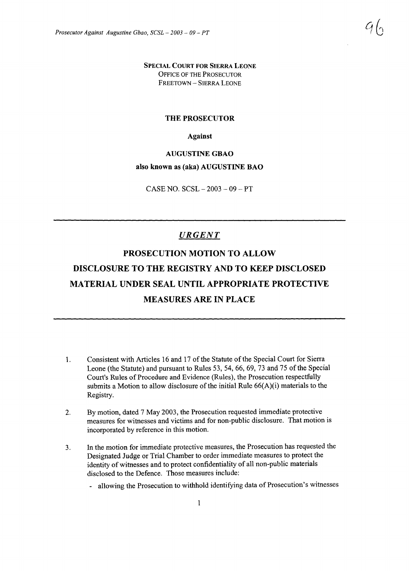SPECIAL COURT FOR SIERRA LEONE OFFICE OF THE PROSECUTOR FREETOWN - SIERRA LEONE

### THE PROSECUTOR

Against

#### AUGUSTINE GBAO

### also known as (aka) AUGUSTINE BAO

 $CASE NO. SCSL - 2003 - 09 - PT$ 

### *URGENT*

# PROSECUTION MOTION TO ALLOW DISCLOSURE TO THE REGISTRY AND TO KEEP DISCLOSED MATERIAL UNDER SEAL UNTIL APPROPRIATE PROTECTIVE MEASURES ARE IN PLACE

- 1. Consistent with Articles 16 and 17 of the Statute of the Special Court for Sierra Leone (the Statute) and pursuant to Rules 53, 54, 66, 69, 73 and 75 of the Special Court's Rules of Procedure and Evidence (Rules), the Prosecution respectfully submits a Motion to allow disclosure of the initial Rule  $66(A)(i)$  materials to the Registry.
- 2. By motion, dated 7 May 2003, the Prosecution requested immediate protective measures for witnesses and victims and for non-public disclosure. That motion is incorporated by reference in this motion.
- 3. In the motion for immediate protective measures, the Prosecution has requested the Designated Judge or Trial Chamber to order immediate measures to protect the identity of witnesses and to protect confidentiality of all non-public materials disclosed to the Defence. Those measures include:
	- allowing the Prosecution to withhold identifying data of Prosecution's witnesses